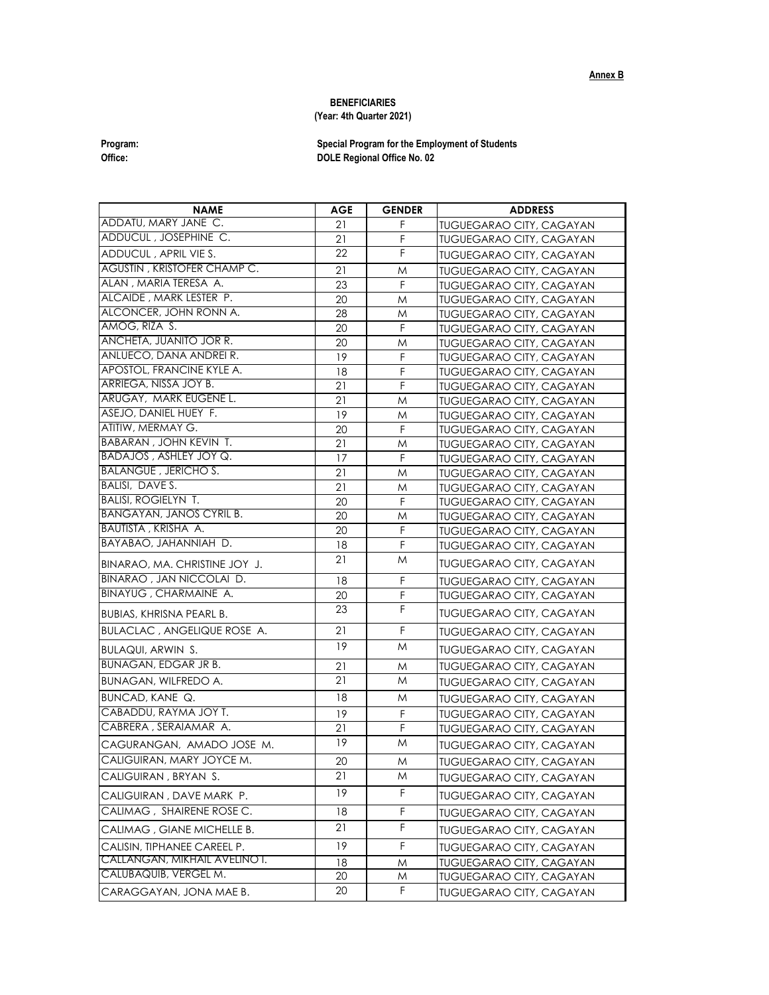## **BENEFICIARIES**

## **(Year: 4th Quarter 2021)**

**Program: Special Program for the Employment of Students Office: DOLE Regional Office No. 02** 

| <b>NAME</b>                                                   | AGE | <b>GENDER</b> | <b>ADDRESS</b>                  |
|---------------------------------------------------------------|-----|---------------|---------------------------------|
| ADDATU, MARY JANE C.                                          | 21  | F             | <b>TUGUEGARAO CITY, CAGAYAN</b> |
| ADDUCUL, JOSEPHINE C.                                         | 21  | F             | <b>TUGUEGARAO CITY, CAGAYAN</b> |
| ADDUCUL, APRIL VIE S.                                         | 22  | F             | <b>TUGUEGARAO CITY, CAGAYAN</b> |
| <b>AGUSTIN, KRISTOFER CHAMP C.</b>                            | 21  | M             | <b>TUGUEGARAO CITY, CAGAYAN</b> |
| ALAN, MARIA TERESA A.                                         | 23  | $\mathsf F$   | <b>TUGUEGARAO CITY, CAGAYAN</b> |
| ALCAIDE, MARK LESTER P.                                       | 20  | M             | <b>TUGUEGARAO CITY, CAGAYAN</b> |
| ALCONCER, JOHN RONN A.                                        | 28  | M             | <b>TUGUEGARAO CITY, CAGAYAN</b> |
| amog, riza S.                                                 | 20  | F             | <b>TUGUEGARAO CITY, CAGAYAN</b> |
| ANCHETA, JUANITO JOR R.                                       | 20  | M             | <b>TUGUEGARAO CITY, CAGAYAN</b> |
| ANLUECO, DANA ANDREI R.                                       | 19  | F             | <b>TUGUEGARAO CITY, CAGAYAN</b> |
| APOSTOL, FRANCINE KYLE A.                                     | 18  | F             | <b>TUGUEGARAO CITY, CAGAYAN</b> |
| ARRIEGA, NISSA JOY B.                                         | 21  | F             | <b>TUGUEGARAO CITY, CAGAYAN</b> |
| ARUGAY, MARK EUGENE L.                                        | 21  | M             | <b>TUGUEGARAO CITY, CAGAYAN</b> |
| ASEJO, DANIEL HUEY F.                                         | 19  | M             | <b>TUGUEGARAO CITY, CAGAYAN</b> |
| ATITIW, MERMAY G.                                             | 20  | F             | <b>TUGUEGARAO CITY, CAGAYAN</b> |
| <b>BABARAN, JOHN KEVIN T.</b>                                 | 21  | M             | <b>TUGUEGARAO CITY, CAGAYAN</b> |
| BADAJOS, ASHLEY JOY Q.                                        | 17  | $\mathsf F$   | <b>TUGUEGARAO CITY, CAGAYAN</b> |
| <b>BALANGUE, JERICHO S.</b>                                   | 21  | M             | <b>TUGUEGARAO CITY, CAGAYAN</b> |
| <b>BALISI, DAVES.</b>                                         | 21  | M             | <b>TUGUEGARAO CITY, CAGAYAN</b> |
| <b>BALISI, ROGIELYN T.</b><br><b>BANGAYAN, JANOS CYRIL B.</b> | 20  | F             | <b>TUGUEGARAO CITY, CAGAYAN</b> |
|                                                               | 20  | M             | <b>TUGUEGARAO CITY, CAGAYAN</b> |
| BAUTISTA, KRISHA A.<br>BAYABAO, JAHANNIAH D.                  | 20  | F             | <b>TUGUEGARAO CITY, CAGAYAN</b> |
|                                                               | 18  | F             | <b>TUGUEGARAO CITY, CAGAYAN</b> |
| BINARAO, MA. CHRISTINE JOY J.                                 | 21  | M             | <b>TUGUEGARAO CITY, CAGAYAN</b> |
| BINARAO, JAN NICCOLAI D.                                      | 18  | F             | <b>TUGUEGARAO CITY, CAGAYAN</b> |
| BINAYUG, CHARMAINE A.                                         | 20  | F             | <b>TUGUEGARAO CITY, CAGAYAN</b> |
| <b>BUBIAS, KHRISNA PEARL B.</b>                               | 23  | F             | <b>TUGUEGARAO CITY, CAGAYAN</b> |
| <b>BULACLAC, ANGELIQUE ROSE A.</b>                            | 21  | F             | <b>TUGUEGARAO CITY, CAGAYAN</b> |
| <b>BULAQUI, ARWIN S.</b>                                      | 19  | M             | <b>TUGUEGARAO CITY, CAGAYAN</b> |
| <b>BUNAGAN, EDGAR JR B.</b>                                   | 21  | M             | <b>TUGUEGARAO CITY, CAGAYAN</b> |
| BUNAGAN, WILFREDO A.                                          | 21  | M             | <b>TUGUEGARAO CITY, CAGAYAN</b> |
| BUNCAD, KANE Q.                                               | 18  | M             | <b>TUGUEGARAO CITY, CAGAYAN</b> |
| CABADDU, RAYMA JOY T.                                         | 19  | F             | <b>TUGUEGARAO CITY, CAGAYAN</b> |
| CABRERA, SERAIAMAR A.                                         | 21  | F             | <b>TUGUEGARAO CITY, CAGAYAN</b> |
| CAGURANGAN, AMADO JOSE M.                                     | 19  | M             | <b>TUGUEGARAO CITY, CAGAYAN</b> |
| CALIGUIRAN, MARY JOYCE M.                                     | 20  | M             | <b>TUGUEGARAO CITY, CAGAYAN</b> |
| CALIGUIRAN , BRYAN S.                                         | 21  | M             | <b>TUGUEGARAO CITY, CAGAYAN</b> |
| CALIGUIRAN, DAVE MARK P.                                      | 19  | F             | <b>TUGUEGARAO CITY, CAGAYAN</b> |
| CALIMAG, SHAIRENE ROSE C.                                     | 18  | F             | <b>TUGUEGARAO CITY, CAGAYAN</b> |
| CALIMAG, GIANE MICHELLE B.                                    | 21  | F             | <b>TUGUEGARAO CITY, CAGAYAN</b> |
| CALISIN, TIPHANEE CAREEL P.                                   | 19  | F             | <b>TUGUEGARAO CITY, CAGAYAN</b> |
| <u>CALLANGAN, MIKHAIL AVELINO I.</u>                          | 18  | M             | <b>TUGUEGARAO CITY, CAGAYAN</b> |
| CALUBAQUIB, VERGEL M.                                         | 20  | M             | <b>TUGUEGARAO CITY, CAGAYAN</b> |
| CARAGGAYAN, JONA MAE B.                                       | 20  | F             | <b>TUGUEGARAO CITY, CAGAYAN</b> |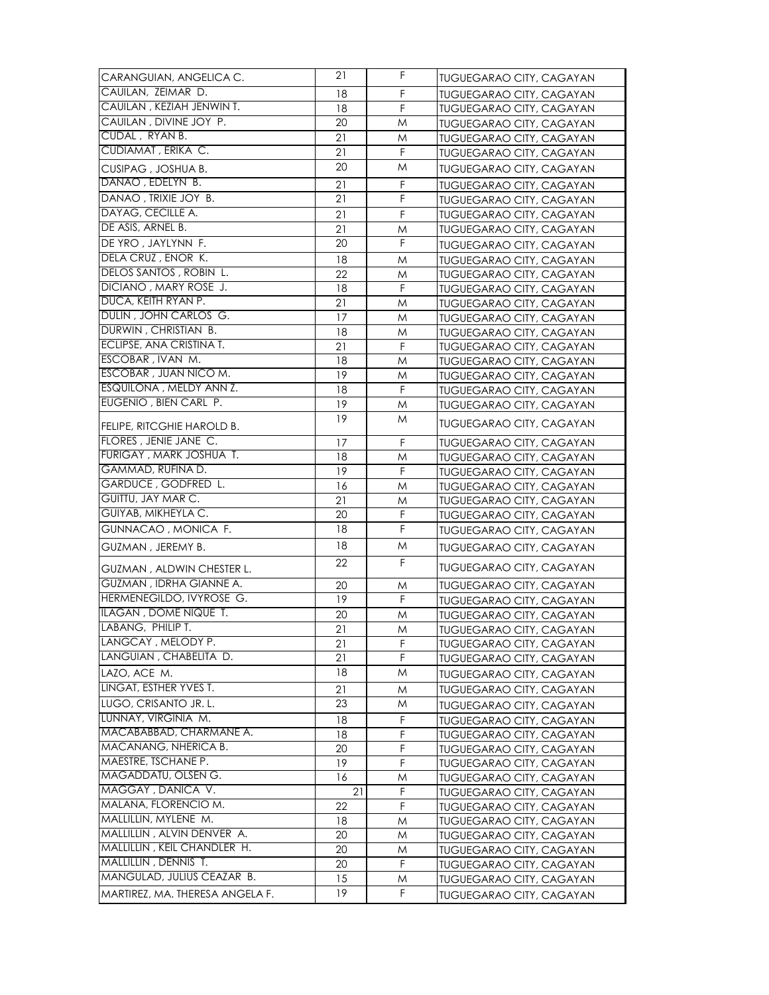| CARANGUIAN, ANGELICA C.         | 21 | F. | <b>TUGUEGARAO CITY, CAGAYAN</b> |
|---------------------------------|----|----|---------------------------------|
| CAUILAN, ZEIMAR D.              | 18 | F  | <b>TUGUEGARAO CITY, CAGAYAN</b> |
| CAUILAN, KEZIAH JENWINT.        | 18 | F  | <b>TUGUEGARAO CITY, CAGAYAN</b> |
| CAUILAN, DIVINE JOY P.          | 20 | M  | <b>TUGUEGARAO CITY, CAGAYAN</b> |
| CUDAL, RYAN B.                  | 21 | M  | <b>TUGUEGARAO CITY, CAGAYAN</b> |
| CUDIAMAT, ERIKA C.              | 21 | F  | TUGUEGARAO CITY, CAGAYAN        |
| CUSIPAG, JOSHUA B.              | 20 | M  | <b>TUGUEGARAO CITY, CAGAYAN</b> |
| DANAO, EDELYN B.                | 21 | F  | <b>TUGUEGARAO CITY, CAGAYAN</b> |
| DANAO, TRIXIE JOY B.            | 21 | F  | <b>TUGUEGARAO CITY, CAGAYAN</b> |
| DAYAG, CECILLE A.               | 21 | F  | <b>TUGUEGARAO CITY, CAGAYAN</b> |
| DE ASIS, ARNEL B.               | 21 | M  |                                 |
| DE YRO, JAYLYNN F.              | 20 | F  | <b>TUGUEGARAO CITY, CAGAYAN</b> |
| DELA CRUZ, ENOR K.              |    |    | <b>TUGUEGARAO CITY, CAGAYAN</b> |
| DELOS SANTOS, ROBIN L.          | 18 | M  | <b>TUGUEGARAO CITY, CAGAYAN</b> |
| DICIANO, MARY ROSE J.           | 22 | M  | <b>TUGUEGARAO CITY, CAGAYAN</b> |
| DUCA, KEITH RYAN P.             | 18 | F  | <b>TUGUEGARAO CITY, CAGAYAN</b> |
| DULIN, JOHN CARLOS G.           | 21 | M  | <b>TUGUEGARAO CITY, CAGAYAN</b> |
| DURWIN, CHRISTIAN B.            | 17 | M  | TUGUEGARAO CITY, CAGAYAN        |
| ECLIPSE, ANA CRISTINA T.        | 18 | M  | <b>TUGUEGARAO CITY, CAGAYAN</b> |
|                                 | 21 | F  | <b>TUGUEGARAO CITY, CAGAYAN</b> |
| ESCOBAR, IVAN M.                | 18 | M  | <b>TUGUEGARAO CITY, CAGAYAN</b> |
| ESCOBAR, JUAN NICO M.           | 19 | M  | <b>TUGUEGARAO CITY, CAGAYAN</b> |
| ESQUILONA, MELDY ANN Z.         | 18 | F  | <b>TUGUEGARAO CITY, CAGAYAN</b> |
| EUGENIO, BIEN CARL P.           | 19 | M  | <b>TUGUEGARAO CITY, CAGAYAN</b> |
| FELIPE, RITCGHIE HAROLD B.      | 19 | M  | <b>TUGUEGARAO CITY, CAGAYAN</b> |
| FLORES, JENIE JANE C.           | 17 | F  | <b>TUGUEGARAO CITY, CAGAYAN</b> |
| FURIGAY, MARK JOSHUA T.         | 18 | M  | <b>TUGUEGARAO CITY, CAGAYAN</b> |
| GAMMAD, RUFINA D.               | 19 | F  | <b>TUGUEGARAO CITY, CAGAYAN</b> |
| GARDUCE, GODFRED L.             | 16 | M  | <b>TUGUEGARAO CITY, CAGAYAN</b> |
| GUITTU, JAY MAR C.              | 21 | M  | <b>TUGUEGARAO CITY, CAGAYAN</b> |
| GUIYAB, MIKHEYLA C.             | 20 | F  | <b>TUGUEGARAO CITY, CAGAYAN</b> |
| GUNNACAO, MONICA F.             | 18 | F  | <b>TUGUEGARAO CITY, CAGAYAN</b> |
| GUZMAN, JEREMY B.               | 18 | M  | <b>TUGUEGARAO CITY, CAGAYAN</b> |
| GUZMAN, ALDWIN CHESTER L.       | 22 | F  | TUGUEGARAO CITY, CAGAYAN        |
| GUZMAN, IDRHA GIANNE A.         | 20 | M  | <b>TUGUEGARAO CITY, CAGAYAN</b> |
| HERMENEGILDO, IVYROSE G.        | 19 | F  | <b>TUGUEGARAO CITY, CAGAYAN</b> |
| <b>ILAGAN, DOME NIQUE T.</b>    | 20 | M  | <b>TUGUEGARAO CITY, CAGAYAN</b> |
| LABANG, PHILIP T.               | 21 | M  | TUGUEGARAO CITY, CAGAYAN        |
| LANGCAY, MELODY P.              | 21 | F  | <b>TUGUEGARAO CITY, CAGAYAN</b> |
| LANGUIAN, CHABELITA D.          | 21 | F  | TUGUEGARAO CITY, CAGAYAN        |
| LAZO, ACE M.                    | 18 | M  | TUGUEGARAO CITY, CAGAYAN        |
| LINGAT, ESTHER YVES T.          | 21 | M  | TUGUEGARAO CITY, CAGAYAN        |
| LUGO, CRISANTO JR. L.           | 23 | M  | <b>TUGUEGARAO CITY, CAGAYAN</b> |
| LUNNAY, VIRGINIA M.             | 18 | F  | TUGUEGARAO CITY, CAGAYAN        |
| MACABABBAD, CHARMANE A.         | 18 | F  | <b>TUGUEGARAO CITY, CAGAYAN</b> |
| MACANANG, NHERICA B.            | 20 | F  | TUGUEGARAO CITY, CAGAYAN        |
| MAESTRE, TSCHANE P.             | 19 | F  | TUGUEGARAO CITY, CAGAYAN        |
| MAGADDATU, OLSEN G.             | 16 | M  | TUGUEGARAO CITY, CAGAYAN        |
| MAGGAY, DANICA V.               | 21 | F  | <b>TUGUEGARAO CITY, CAGAYAN</b> |
| MALANA, FLORENCIO M.            | 22 | F  | <b>TUGUEGARAO CITY, CAGAYAN</b> |
| MALLILLIN, MYLENE M.            | 18 | M  | <b>TUGUEGARAO CITY, CAGAYAN</b> |
| MALLILLIN, ALVIN DENVER A.      | 20 | M  | <b>TUGUEGARAO CITY, CAGAYAN</b> |
| MALLILLIN, KEIL CHANDLER H.     | 20 | M  | <b>TUGUEGARAO CITY, CAGAYAN</b> |
| MALLILLIN, DENNIS T.            | 20 | F  | <b>TUGUEGARAO CITY, CAGAYAN</b> |
| MANGULAD, JULIUS CEAZAR B.      | 15 | M  | <b>TUGUEGARAO CITY, CAGAYAN</b> |
| MARTIREZ, MA. THERESA ANGELA F. | 19 | F  | TUGUEGARAO CITY, CAGAYAN        |
|                                 |    |    |                                 |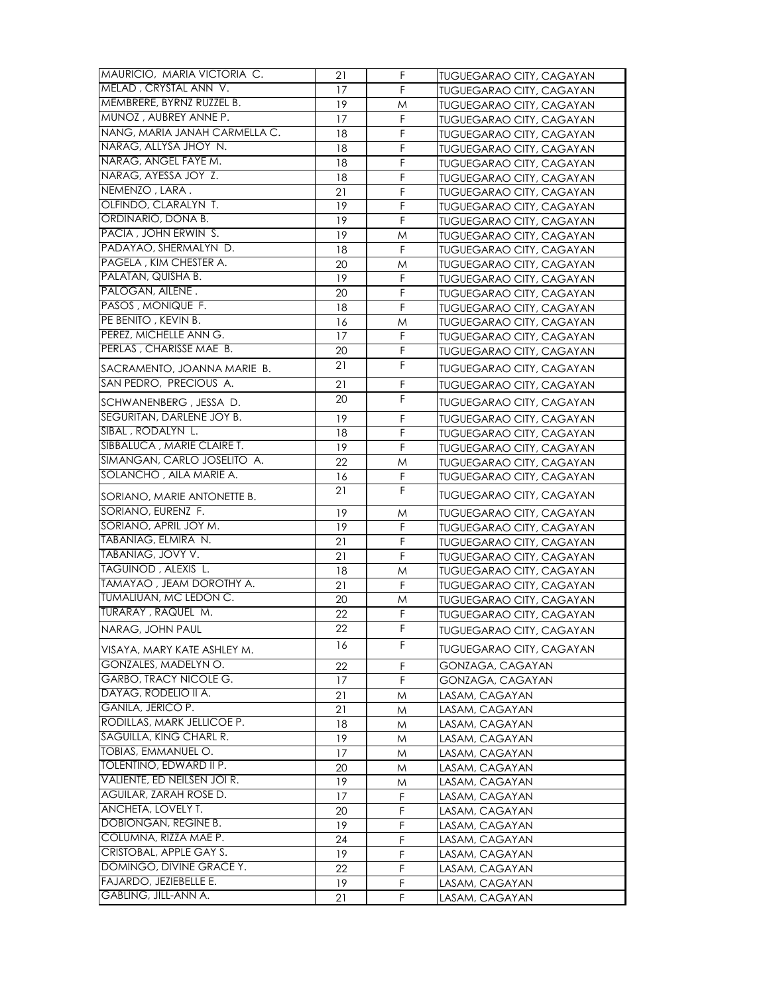| MAURICIO, MARIA VICTORIA C.                           | 21 | F  | <b>TUGUEGARAO CITY, CAGAYAN</b> |
|-------------------------------------------------------|----|----|---------------------------------|
| MELAD, CRYSTAL ANN V.                                 | 17 | F  | <b>TUGUEGARAO CITY, CAGAYAN</b> |
| MEMBRERE, BYRNZ RUZZEL B.                             | 19 | M  | TUGUEGARAO CITY, CAGAYAN        |
| MUNOZ, AUBREY ANNE P.                                 | 17 | F  | <b>TUGUEGARAO CITY, CAGAYAN</b> |
| NANG, MARIA JANAH CARMELLA C.                         | 18 | F  | TUGUEGARAO CITY, CAGAYAN        |
| NARAG, ALLYSA JHOY N.                                 | 18 | F  | TUGUEGARAO CITY, CAGAYAN        |
| NARAG, ANGEL FAYE M.                                  | 18 | F  | <b>TUGUEGARAO CITY, CAGAYAN</b> |
| NARAG, AYESSA JOY Z.                                  | 18 | F  | TUGUEGARAO CITY, CAGAYAN        |
| NEMENZO, LARA.                                        | 21 | F  | TUGUEGARAO CITY, CAGAYAN        |
| OLFINDO, CLARALYN T.                                  | 19 | F  | TUGUEGARAO CITY, CAGAYAN        |
| ORDINARIO, DONA B.                                    | 19 | F  | <b>TUGUEGARAO CITY, CAGAYAN</b> |
| PACIA, JOHN ERWIN S.                                  | 19 | M  | <b>TUGUEGARAO CITY, CAGAYAN</b> |
| PADAYAO, SHERMALYN D.                                 | 18 | F  | <b>TUGUEGARAO CITY, CAGAYAN</b> |
| PAGELA, KIM CHESTER A.                                | 20 | M  | <b>TUGUEGARAO CITY, CAGAYAN</b> |
| PALATAN, QUISHA B.                                    | 19 | F  | <b>TUGUEGARAO CITY, CAGAYAN</b> |
| PALOGAN, AILENE.                                      | 20 | F  | TUGUEGARAO CITY, CAGAYAN        |
| PASOS, MONIQUE F.                                     | 18 | F  | <b>TUGUEGARAO CITY, CAGAYAN</b> |
| PE BENITO, KEVIN B.                                   | 16 | M  | <b>TUGUEGARAO CITY, CAGAYAN</b> |
| PEREZ, MICHELLE ANN G.                                | 17 | F  | <b>TUGUEGARAO CITY, CAGAYAN</b> |
| PERLAS, CHARISSE MAE B.                               | 20 | F  | <b>TUGUEGARAO CITY, CAGAYAN</b> |
| SACRAMENTO, JOANNA MARIE B.                           | 21 | F  | <b>TUGUEGARAO CITY, CAGAYAN</b> |
| SAN PEDRO, PRECIOUS A.                                | 21 | F  | TUGUEGARAO CITY, CAGAYAN        |
|                                                       | 20 | F  |                                 |
| SCHWANENBERG, JESSA D.                                |    |    | <b>TUGUEGARAO CITY, CAGAYAN</b> |
| SEGURITAN, DARLENE JOY B.                             | 19 | F  | <b>TUGUEGARAO CITY, CAGAYAN</b> |
| SIBAL, RODALYN L.                                     | 18 | F  | <b>TUGUEGARAO CITY, CAGAYAN</b> |
| SIBBALUCA, MARIE CLAIRE T.                            | 19 | F  | TUGUEGARAO CITY, CAGAYAN        |
| SIMANGAN, CARLO JOSELITO A.                           | 22 | M  | <b>TUGUEGARAO CITY, CAGAYAN</b> |
| SOLANCHO, AILA MARIE A.                               | 16 | F  | <b>TUGUEGARAO CITY, CAGAYAN</b> |
| SORIANO, MARIE ANTONETTE B.                           | 21 | F  | <b>TUGUEGARAO CITY, CAGAYAN</b> |
| SORIANO, EURENZ F.                                    | 19 | M  | <b>TUGUEGARAO CITY, CAGAYAN</b> |
| SORIANO, APRIL JOY M.                                 | 19 | F  | <b>TUGUEGARAO CITY, CAGAYAN</b> |
| TABANIAG, ELMIRA N.                                   | 21 | F  | TUGUEGARAO CITY, CAGAYAN        |
| TABANIAG, JOVY V.                                     | 21 | F  | <b>TUGUEGARAO CITY, CAGAYAN</b> |
| TAGUINOD, ALEXIS L.                                   | 18 | M  | <b>TUGUEGARAO CITY, CAGAYAN</b> |
| TAMAYAO, JEAM DOROTHY A.                              | 21 | F  | <b>TUGUEGARAO CITY, CAGAYAN</b> |
| TUMALIUAN, MC LEDON C.                                | 20 | M  | <b>TUGUEGARAO CITY, CAGAYAN</b> |
| TURARAY, RAQUEL M.                                    | 22 | F  | <b>TUGUEGARAO CITY, CAGAYAN</b> |
| NARAG, JOHN PAUL                                      | 22 | F  | <b>TUGUEGARAO CITY, CAGAYAN</b> |
| VISAYA, MARY KATE ASHLEY M.                           | 16 | F. | <b>TUGUEGARAO CITY, CAGAYAN</b> |
| GONZALES, MADELYN O.                                  | 22 | F  | GONZAGA, CAGAYAN                |
| <b>GARBO, TRACY NICOLE G.</b>                         | 17 | F  | GONZAGA, CAGAYAN                |
| DAYAG, RODELIO II A.                                  | 21 | M  | LASAM, CAGAYAN                  |
| GANILA, JERICO P.                                     | 21 | M  | LASAM, CAGAYAN                  |
| RODILLAS, MARK JELLICOE P.                            | 18 | M  | LASAM, CAGAYAN                  |
| SAGUILLA, KING CHARL R.                               | 19 | M  | LASAM, CAGAYAN                  |
| <b>TOBIAS, EMMANUEL O.</b>                            | 17 | M  | LASAM, CAGAYAN                  |
| TOLENTINO, EDWARD II P.                               | 20 | M  | LASAM, CAGAYAN                  |
| VALIENTE, ED NEILSEN JOIR.                            | 19 | M  | LASAM, CAGAYAN                  |
| AGUILAR, ZARAH ROSE D.                                | 17 | F  | LASAM, CAGAYAN                  |
| ANCHETA, LOVELY T.                                    | 20 | F  | LASAM, CAGAYAN                  |
| DOBIONGAN, REGINE B.                                  | 19 | F  | LASAM, CAGAYAN                  |
| COLUMNA, RIZZA MAE P.                                 | 24 | F  | LASAM, CAGAYAN                  |
| CRISTOBAL, APPLE GAY S.                               |    |    |                                 |
|                                                       | 19 | F  | LASAM, CAGAYAN                  |
| DOMINGO, DIVINE GRACE Y.                              | 22 | F  | LASAM, CAGAYAN                  |
| FAJARDO, JEZIEBELLE E.<br><b>GABLING, JILL-ANN A.</b> | 19 | F  | LASAM, CAGAYAN                  |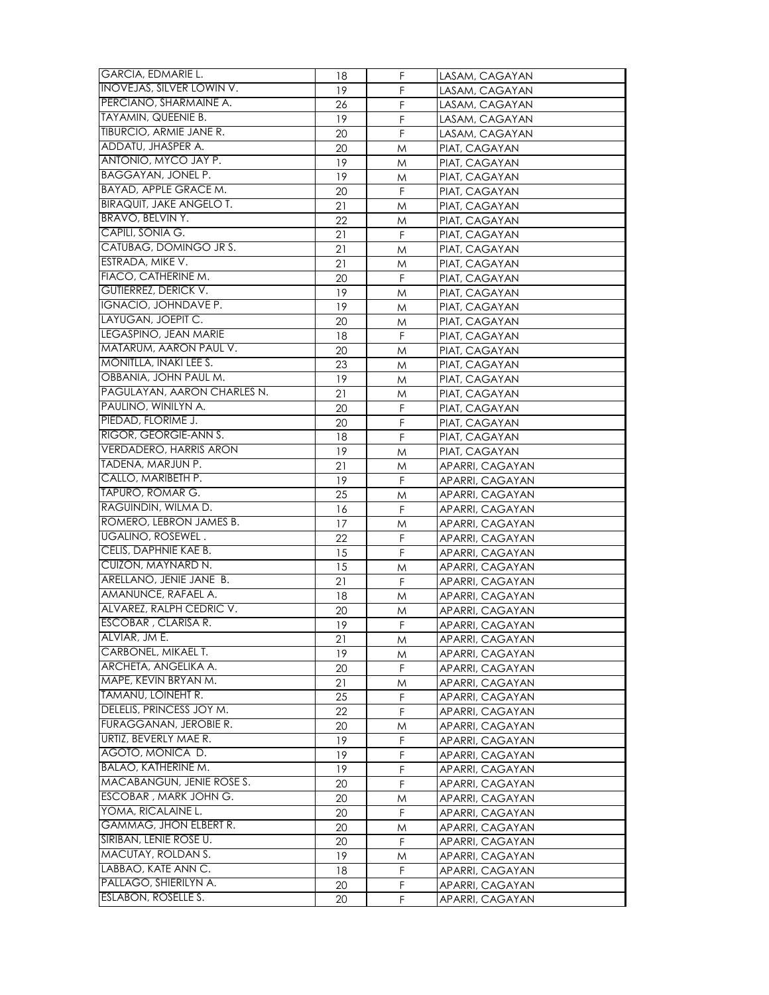| <b>GARCIA, EDMARIE L.</b>        | 18       | F. | LASAM, CAGAYAN  |
|----------------------------------|----------|----|-----------------|
| <b>INOVEJAS, SILVER LOWIN V.</b> | 19       | F  | LASAM, CAGAYAN  |
| PERCIANO, SHARMAINE A.           |          | F  | LASAM, CAGAYAN  |
| <b>TAYAMIN, QUEENIE B.</b>       | 26<br>19 | F  |                 |
| TIBURCIO, ARMIE JANE R.          |          | F  | LASAM, CAGAYAN  |
| ADDATU, JHASPER A.               | 20       |    | LASAM, CAGAYAN  |
| ANTONIO, MYCO JAY P.             | 20       | M  | PIAT, CAGAYAN   |
|                                  | 19       | M  | PIAT, CAGAYAN   |
| <b>BAGGAYAN, JONEL P.</b>        | 19       | M  | PIAT, CAGAYAN   |
| BAYAD, APPLE GRACE M.            | 20       | F  | PIAT, CAGAYAN   |
| <b>BIRAQUIT, JAKE ANGELO T.</b>  | 21       | M  | PIAT, CAGAYAN   |
| BRAVO, BELVIN Y.                 | 22       | M  | PIAT, CAGAYAN   |
| CAPILI, SONIA G.                 | 21       | F  | PIAT, CAGAYAN   |
| CATUBAG, DOMINGO JR S.           | 21       | M  | PIAT, CAGAYAN   |
| ESTRADA, MIKE V.                 | 21       | M  | PIAT, CAGAYAN   |
| FIACO, CATHERINE M.              | 20       | F  | PIAT, CAGAYAN   |
| <b>GUTIERREZ, DERICK V.</b>      | 19       | M  | PIAT, CAGAYAN   |
| IGNACIO, JOHNDAVE P.             | 19       | M  | PIAT, CAGAYAN   |
| LAYUGAN, JOEPIT C.               | 20       | M  | PIAT, CAGAYAN   |
| LEGASPINO, JEAN MARIE            | 18       | F  | PIAT, CAGAYAN   |
| MATARUM, AARON PAUL V.           | 20       | M  | PIAT, CAGAYAN   |
| MONITLLA, INAKI LEE S.           | 23       | M  | PIAT, CAGAYAN   |
| OBBANIA, JOHN PAUL M.            | 19       | M  | PIAT, CAGAYAN   |
| PAGULAYAN, AARON CHARLES N.      | 21       | M  | PIAT, CAGAYAN   |
| PAULINO, WINILYN A.              | 20       | F  | PIAT, CAGAYAN   |
| PIEDAD, FLORIME J.               | 20       | F  | PIAT, CAGAYAN   |
| RIGOR, GEORGIE-ANN S.            | 18       | F  | PIAT, CAGAYAN   |
| <b>VERDADERO, HARRIS ARON</b>    | 19       | M  | PIAT, CAGAYAN   |
| TADENA, MARJUN P.                | 21       | M  | APARRI, CAGAYAN |
| CALLO, MARIBETH P.               | 19       | F  | APARRI, CAGAYAN |
| TAPURO, ROMAR G.                 | 25       | M  | APARRI, CAGAYAN |
| RAGUINDIN, WILMA D.              | 16       | F  | APARRI, CAGAYAN |
| ROMERO, LEBRON JAMES B.          | 17       | M  | APARRI, CAGAYAN |
| <b>UGALINO, ROSEWEL.</b>         | 22       | F  | APARRI, CAGAYAN |
| CELIS, DAPHNIE KAE B.            | 15       | F  | APARRI, CAGAYAN |
| CUIZON, MAYNARD N.               | 15       | M  | APARRI, CAGAYAN |
| ARELLANO, JENIE JANE B.          | 21       | F  | APARRI, CAGAYAN |
| AMANUNCE, RAFAEL A.              | 18       | M  | APARRI, CAGAYAN |
| ALVAREZ, RALPH CEDRIC V.         | 20       | M  | APARRI, CAGAYAN |
| <b>ESCOBAR, CLARISA R.</b>       | 19       | F  | APARRI, CAGAYAN |
| ALVIAR, JM E.                    | 21       | M  | APARRI, CAGAYAN |
| CARBONEL, MIKAEL T.              | 19       | M  | APARRI, CAGAYAN |
| ARCHETA, ANGELIKA A.             | 20       | F. | APARRI, CAGAYAN |
| MAPE, KEVIN BRYAN M.             | 21       | M  | APARRI, CAGAYAN |
| TAMANU, LOINEHT R.               | 25       | F  | APARRI, CAGAYAN |
| DELELIS, PRINCESS JOY M.         | 22       | F  | APARRI, CAGAYAN |
| FURAGGANAN, JEROBIE R.           | 20       | M  | APARRI, CAGAYAN |
| URTIZ, BEVERLY MAE R.            | 19       | F  | APARRI, CAGAYAN |
| AGOTO, MONICA D.                 | 19       | F  | APARRI, CAGAYAN |
| <b>BALAO, KATHERINE M.</b>       | 19       | F  | APARRI, CAGAYAN |
| MACABANGUN, JENIE ROSE S.        | 20       | F  | APARRI, CAGAYAN |
| ESCOBAR, MARK JOHN G.            | 20       | M  | APARRI, CAGAYAN |
| YOMA, RICALAINE L.               | 20       | F  | APARRI, CAGAYAN |
| <b>GAMMAG, JHON ELBERT R.</b>    | 20       | M  | APARRI, CAGAYAN |
| SIRIBAN, LENIE ROSE U.           | 20       | F. | APARRI, CAGAYAN |
| <b>MACUTAY, ROLDAN S.</b>        | 19       | M  | APARRI, CAGAYAN |
| LABBAO, KATE ANN C.              | 18       | F  | APARRI, CAGAYAN |
| PALLAGO, SHIERILYN A.            | 20       | F  | APARRI, CAGAYAN |
| <b>ESLABON, ROSELLE S.</b>       | 20       | F  | APARRI, CAGAYAN |
|                                  |          |    |                 |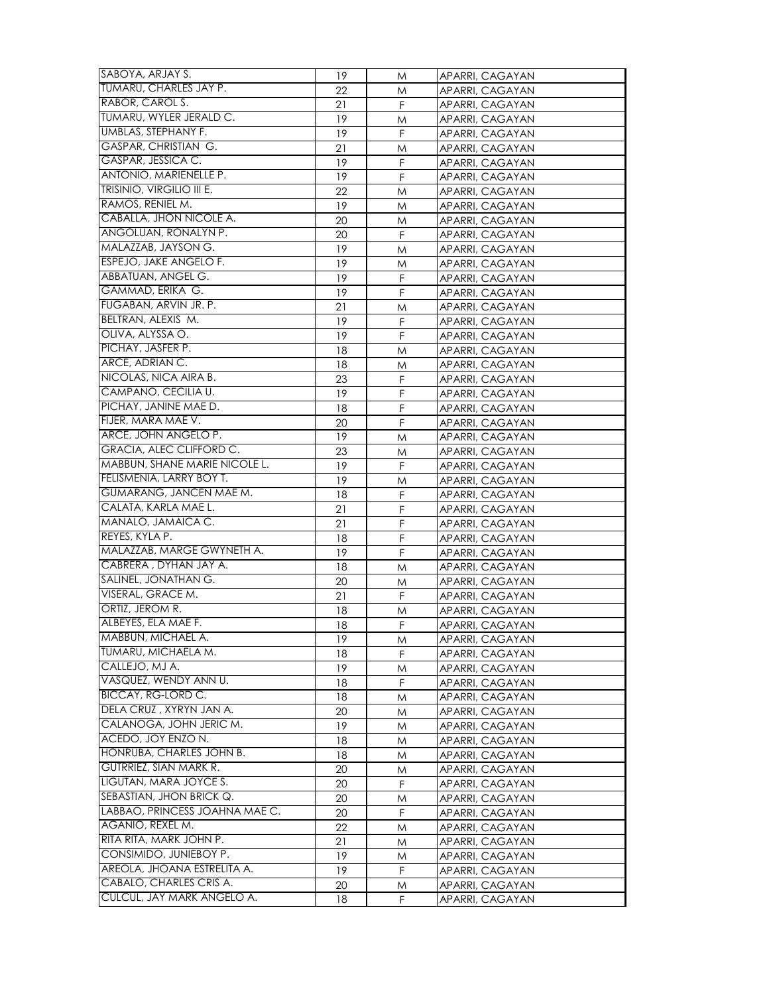| SABOYA, ARJAY S.               | 19 | M | APARRI, CAGAYAN |
|--------------------------------|----|---|-----------------|
| TUMARU, CHARLES JAY P.         | 22 | M | APARRI, CAGAYAN |
| RABOR, CAROL S.                | 21 | F | APARRI, CAGAYAN |
| TUMARU, WYLER JERALD C.        | 19 | M | APARRI, CAGAYAN |
| <b>UMBLAS, STEPHANY F.</b>     | 19 | F | APARRI, CAGAYAN |
| <b>GASPAR, CHRISTIAN G.</b>    | 21 | M | APARRI, CAGAYAN |
| GASPAR, JESSICA C.             | 19 | F | APARRI, CAGAYAN |
| ANTONIO, MARIENELLE P.         | 19 | F | APARRI, CAGAYAN |
| TRISINIO, VIRGILIO III E.      | 22 | M | APARRI, CAGAYAN |
| RAMOS, RENIEL M.               | 19 |   | APARRI, CAGAYAN |
| CABALLA, JHON NICOLE A.        |    | M |                 |
| ANGOLUAN, RONALYN P.           | 20 | M | APARRI, CAGAYAN |
| MALAZZAB, JAYSON G.            | 20 | F | APARRI, CAGAYAN |
| ESPEJO, JAKE ANGELO F.         | 19 | M | APARRI, CAGAYAN |
| ABBATUAN, ANGEL G.             | 19 | M | APARRI, CAGAYAN |
| GAMMAD, ERIKA G.               | 19 | F | APARRI, CAGAYAN |
| FUGABAN, ARVIN JR. P.          | 19 | F | APARRI, CAGAYAN |
|                                | 21 | M | APARRI, CAGAYAN |
| BELTRAN, ALEXIS M.             | 19 | F | APARRI, CAGAYAN |
| OLIVA, ALYSSA O.               | 19 | F | APARRI, CAGAYAN |
| PICHAY, JASFER P.              | 18 | M | APARRI, CAGAYAN |
| ARCE, ADRIAN C.                | 18 | M | APARRI, CAGAYAN |
| NICOLAS, NICA AIRA B.          | 23 | F | APARRI, CAGAYAN |
| CAMPANO, CECILIA U.            | 19 | F | APARRI, CAGAYAN |
| PICHAY, JANINE MAE D.          | 18 | F | APARRI, CAGAYAN |
| FIJER, MARA MAE V.             | 20 | F | APARRI, CAGAYAN |
| ARCE, JOHN ANGELO P.           | 19 | M | APARRI, CAGAYAN |
| GRACIA, ALEC CLIFFORD C.       | 23 | M | APARRI, CAGAYAN |
| MABBUN, SHANE MARIE NICOLE L.  | 19 | F | APARRI, CAGAYAN |
| FELISMENIA, LARRY BOY T.       | 19 | M | APARRI, CAGAYAN |
| GUMARANG, JANCEN MAE M.        | 18 | F | APARRI, CAGAYAN |
| CALATA, KARLA MAE L.           | 21 | F | APARRI, CAGAYAN |
| MANALO, JAMAICA C.             | 21 | F | APARRI, CAGAYAN |
| REYES, KYLA P.                 | 18 | F | APARRI, CAGAYAN |
| MALAZZAB, MARGE GWYNETH A.     | 19 | F | APARRI, CAGAYAN |
| CABRERA, DYHAN JAY A.          | 18 | M | APARRI, CAGAYAN |
| SALINEL, JONATHAN G.           | 20 | M | APARRI, CAGAYAN |
| VISERAL, GRACE M.              | 21 | F | APARRI, CAGAYAN |
| ORTIZ, JEROM R.                | 18 | M | APARRI, CAGAYAN |
| ALBEYES, ELA MAE F.            | 18 | F | APARRI, CAGAYAN |
| MABBUN, MICHAEL A.             | 19 | M | APARRI, CAGAYAN |
| TUMARU, MICHAELA M.            | 18 | F | APARRI, CAGAYAN |
| CALLEJO, MJ A.                 | 19 | M | APARRI, CAGAYAN |
| VASQUEZ, WENDY ANN U.          | 18 | F | APARRI, CAGAYAN |
| <b>BICCAY, RG-LORD C.</b>      | 18 | M | APARRI, CAGAYAN |
| DELA CRUZ, XYRYN JAN A.        | 20 | M | APARRI, CAGAYAN |
| CALANOGA, JOHN JERIC M.        | 19 | M | APARRI, CAGAYAN |
| ACEDO, JOY ENZO N.             | 18 | M | APARRI, CAGAYAN |
| HONRUBA, CHARLES JOHN B.       | 18 | M | APARRI, CAGAYAN |
| <b>GUTRRIEZ, SIAN MARK R.</b>  | 20 | M | APARRI, CAGAYAN |
| LIGUTAN, MARA JOYCE S.         | 20 | F | APARRI, CAGAYAN |
| SEBASTIAN, JHON BRICK Q.       | 20 | M | APARRI, CAGAYAN |
| LABBAO, PRINCESS JOAHNA MAE C. | 20 | F | APARRI, CAGAYAN |
| AGANIO, REXEL M.               | 22 | M | APARRI, CAGAYAN |
| RITA RITA, MARK JOHN P.        | 21 | M | APARRI, CAGAYAN |
| CONSIMIDO, JUNIEBOY P.         | 19 | M | APARRI, CAGAYAN |
| AREOLA, JHOANA ESTRELITA A.    | 19 | F | APARRI, CAGAYAN |
| CABALO, CHARLES CRIS A.        | 20 | M | APARRI, CAGAYAN |
| CULCUL, JAY MARK ANGELO A.     |    | F |                 |
|                                | 18 |   | APARRI, CAGAYAN |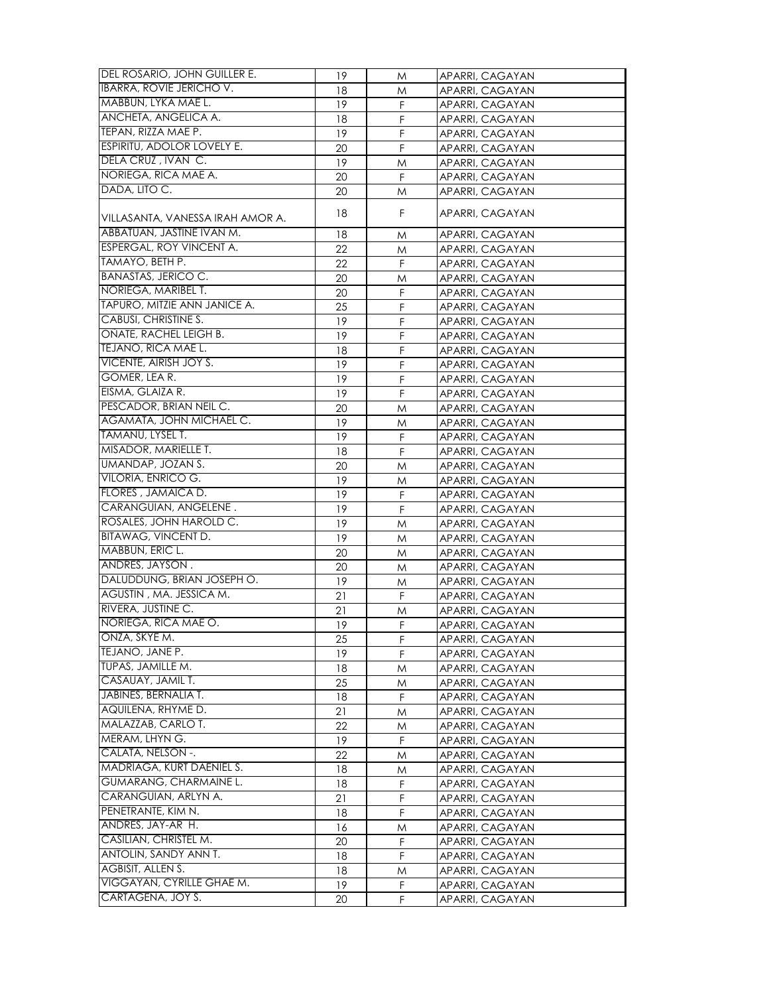| DEL ROSARIO, JOHN GUILLER E.      | 19       | M           | APARRI, CAGAYAN |
|-----------------------------------|----------|-------------|-----------------|
| <b>IBARRA, ROVIE JERICHO V.</b>   | 18       | Μ           | APARRI, CAGAYAN |
| MABBUN, LYKA MAE L.               | 19       | F           | APARRI, CAGAYAN |
| ANCHETA, ANGELICA A.              | 18       | F           | APARRI, CAGAYAN |
| TEPAN, RIZZA MAE P.               | 19       | $\mathsf F$ | APARRI, CAGAYAN |
| <b>ESPIRITU, ADOLOR LOVELY E.</b> |          | F           |                 |
| DELA CRUZ, IVAN C.                | 20<br>19 |             | APARRI, CAGAYAN |
| NORIEGA, RICA MAE A.              |          | Μ           | APARRI, CAGAYAN |
| DADA, LITO C.                     | 20       | F           | APARRI, CAGAYAN |
|                                   | 20       | M           | APARRI, CAGAYAN |
| VILLASANTA, VANESSA IRAH AMOR A.  | 18       | F           | APARRI, CAGAYAN |
| ABBATUAN, JASTINE IVAN M.         | 18       | M           | APARRI, CAGAYAN |
| <b>ESPERGAL, ROY VINCENT A.</b>   | 22       | M           | APARRI, CAGAYAN |
| TAMAYO, BETH P.                   | 22       | F           | APARRI, CAGAYAN |
| <b>BANASTAS, JERICO C.</b>        | 20       | Μ           | APARRI, CAGAYAN |
| NORIEGA, MARIBEL T.               | 20       | F           | APARRI, CAGAYAN |
| TAPURO, MITZIE ANN JANICE A.      | 25       | $\mathsf F$ | APARRI, CAGAYAN |
| CABUSI, CHRISTINE S.              | 19       | F           | APARRI, CAGAYAN |
| ONATE, RACHEL LEIGH B.            | 19       | F           | APARRI, CAGAYAN |
| TEJANO, RICA MAE L.               | 18       | F           | APARRI, CAGAYAN |
| <b>VICENTE, AIRISH JOY S.</b>     | 19       | F           | APARRI, CAGAYAN |
| GOMER, LEA R.                     | 19       | F           | APARRI, CAGAYAN |
| EISMA, GLAIZA R.                  | 19       | F           |                 |
| PESCADOR, BRIAN NEIL C.           |          |             | APARRI, CAGAYAN |
| AGAMATA, JOHN MICHAEL C.          | 20       | M           | APARRI, CAGAYAN |
|                                   | 19       | M           | APARRI, CAGAYAN |
| TAMANU, LYSEL T.                  | 19       | F           | APARRI, CAGAYAN |
| MISADOR, MARIELLE T.              | 18       | F           | APARRI, CAGAYAN |
| UMANDAP, JOZAN S.                 | 20       | M           | APARRI, CAGAYAN |
| VILORIA, ENRICO G.                | 19       | M           | APARRI, CAGAYAN |
| FLORES, JAMAICA D.                | 19       | F           | APARRI, CAGAYAN |
| CARANGUIAN, ANGELENE.             | 19       | F           | APARRI, CAGAYAN |
| ROSALES, JOHN HAROLD C.           | 19       | Μ           | APARRI, CAGAYAN |
| <b>BITAWAG, VINCENT D.</b>        | 19       | Μ           | APARRI, CAGAYAN |
| MABBUN, ERIC L.                   | 20       | M           | APARRI, CAGAYAN |
| ANDRES, JAYSON.                   | 20       | M           | APARRI, CAGAYAN |
| DALUDDUNG, BRIAN JOSEPH O.        | 19       | M           | APARRI, CAGAYAN |
| AGUSTIN, MA. JESSICA M.           | 21       | F           | APARRI, CAGAYAN |
| RIVERA, JUSTINE C.                | 21       | Μ           | APARRI, CAGAYAN |
| NORIEGA, RICA MAE O.              | 19       | F           | APARRI, CAGAYAN |
| ONZA, SKYE M.                     | 25       | F           | APARRI, CAGAYAN |
| TEJANO, JANE P.                   | 19       | F           | APARRI, CAGAYAN |
| TUPAS, JAMILLE M.                 | 18       | M           | APARRI, CAGAYAN |
| CASAUAY, JAMIL T.                 | 25       | M           | APARRI, CAGAYAN |
| <b>JABINES, BERNALIA T.</b>       | 18       | F           | APARRI, CAGAYAN |
| AQUILENA, RHYME D.                | 21       | M           | APARRI, CAGAYAN |
| MALAZZAB, CARLO T.                | 22       | M           | APARRI, CAGAYAN |
| MERAM, LHYN G.                    | 19       | F           | APARRI, CAGAYAN |
| CALATA, NELSON -.                 | 22       | M           | APARRI, CAGAYAN |
| MADRIAGA, KURT DAENIEL S.         | 18       | M           | APARRI, CAGAYAN |
| GUMARANG, CHARMAINE L.            | 18       | F           | APARRI, CAGAYAN |
| CARANGUIAN, ARLYN A.              | 21       | F           |                 |
| PENETRANTE, KIM N.                |          |             | APARRI, CAGAYAN |
| ANDRES, JAY-AR H.                 | 18       | $\mathsf F$ | APARRI, CAGAYAN |
| CASILIAN, CHRISTEL M.             | 16       | M           | APARRI, CAGAYAN |
|                                   | 20       | F           | APARRI, CAGAYAN |
| ANTOLIN, SANDY ANN T.             | 18       | F           | APARRI, CAGAYAN |
| <b>AGBISIT, ALLEN S.</b>          | 18       | Μ           | APARRI, CAGAYAN |
| VIGGAYAN, CYRILLE GHAE M.         | 19       | F           | APARRI, CAGAYAN |
| CARTAGENA, JOY S.                 | 20       | F           | APARRI, CAGAYAN |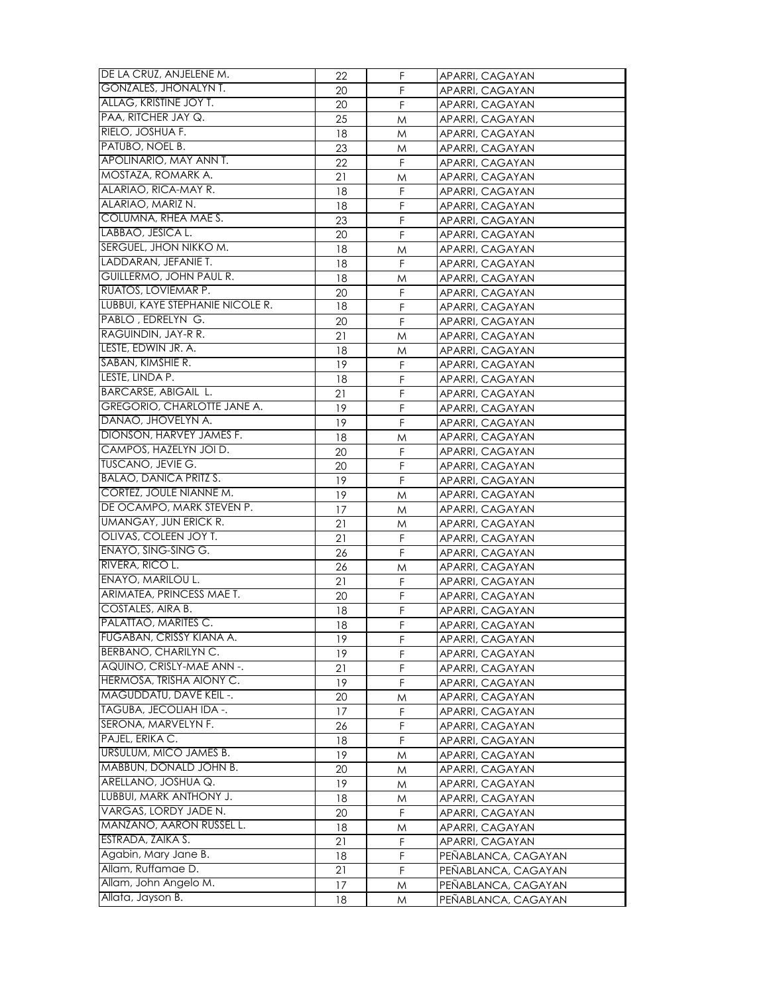| DE LA CRUZ, ANJELENE M.            | 22       | F.     | APARRI, CAGAYAN     |
|------------------------------------|----------|--------|---------------------|
| <b>GONZALES, JHONALYN T.</b>       | 20       | F      | APARRI, CAGAYAN     |
| ALLAG, KRISTINE JOY T.             | 20       | F      | APARRI, CAGAYAN     |
| PAA, RITCHER JAY Q.                | 25       | M      | APARRI, CAGAYAN     |
| RIELO, JOSHUA F.                   | 18       | M      | APARRI, CAGAYAN     |
| PATUBO, NOEL B.                    | 23       | M      | APARRI, CAGAYAN     |
| APOLINARIO, MAY ANN T.             | 22       | F      | APARRI, CAGAYAN     |
| MOSTAZA, ROMARK A.                 | 21       | M      | APARRI, CAGAYAN     |
| ALARIAO, RICA-MAY R.               | 18       | F      | APARRI, CAGAYAN     |
| ALARIAO, MARIZ N.                  | 18       | F      | APARRI, CAGAYAN     |
| COLUMNA, RHEA MAE S.               | 23       | F      |                     |
| LABBAO, JESICA L.                  |          | F      | APARRI, CAGAYAN     |
| SERGUEL, JHON NIKKO M.             | 20<br>18 |        | APARRI, CAGAYAN     |
| LADDARAN, JEFANIE T.               | 18       | Μ<br>F | APARRI, CAGAYAN     |
| GUILLERMO, JOHN PAUL R.            |          |        | APARRI, CAGAYAN     |
| RUATOS, LOVIEMAR P.                | 18       | M<br>F | APARRI, CAGAYAN     |
| LUBBUI, KAYE STEPHANIE NICOLE R.   | 20       |        | APARRI, CAGAYAN     |
|                                    | 18       | F      | APARRI, CAGAYAN     |
| PABLO, EDRELYN G.                  | 20       | F      | APARRI, CAGAYAN     |
| RAGUINDIN, JAY-R R.                | 21       | Μ      | APARRI, CAGAYAN     |
| LESTE, EDWIN JR. A.                | 18       | M      | APARRI, CAGAYAN     |
| SABAN, KIMSHIE R.                  | 19       | F      | APARRI, CAGAYAN     |
| LESTE, LINDA P.                    | 18       | F      | APARRI, CAGAYAN     |
| <b>BARCARSE, ABIGAIL L.</b>        | 21       | F      | APARRI, CAGAYAN     |
| <b>GREGORIO, CHARLOTTE JANE A.</b> | 19       | F      | APARRI, CAGAYAN     |
| DANAO, JHOVELYN A.                 | 19       | F      | APARRI, CAGAYAN     |
| DIONSON, HARVEY JAMES F.           | 18       | M      | APARRI, CAGAYAN     |
| CAMPOS, HAZELYN JOI D.             | 20       | F      | APARRI, CAGAYAN     |
| <b>TUSCANO, JEVIE G.</b>           | 20       | F      | APARRI, CAGAYAN     |
| <b>BALAO, DANICA PRITZ S.</b>      | 19       | F      | APARRI, CAGAYAN     |
| CORTEZ, JOULE NIANNE M.            | 19       | M      | APARRI, CAGAYAN     |
| DE OCAMPO, MARK STEVEN P.          | 17       | M      | APARRI, CAGAYAN     |
| UMANGAY, JUN ERICK R.              | 21       | M      | APARRI, CAGAYAN     |
| OLIVAS, COLEEN JOY T.              | 21       | F      | APARRI, CAGAYAN     |
| <b>ENAYO, SING-SING G.</b>         | 26       | F      | APARRI, CAGAYAN     |
| RIVERA, RICO L.                    | 26       | M      | APARRI, CAGAYAN     |
| ENAYO, MARILOU L.                  | 21       | F      | APARRI, CAGAYAN     |
| ARIMATEA, PRINCESS MAE T.          | 20       | F      | APARRI, CAGAYAN     |
| <b>COSTALES, AIRA B.</b>           | 18       | F      | APARRI, CAGAYAN     |
| PALATTAO, MARITES C.               | 18       | F      | APARRI, CAGAYAN     |
| <b>FUGABAN, CRISSY KIANA A.</b>    | 19       | F      | APARRI, CAGAYAN     |
| BERBANO, CHARILYN C.               | 19       | F      | APARRI, CAGAYAN     |
| AQUINO, CRISLY-MAE ANN -.          | 21       | F      | APARRI, CAGAYAN     |
| HERMOSA, TRISHA AIONY C.           | 19       | F      | APARRI, CAGAYAN     |
| MAGUDDATU, DAVE KEIL -.            | 20       | M      | APARRI, CAGAYAN     |
| TAGUBA, JECOLIAH IDA -.            | 17       | F      | APARRI, CAGAYAN     |
| SERONA, MARVELYN F.                | 26       | F      | APARRI, CAGAYAN     |
| PAJEL, ERIKA C.                    | 18       | F      | APARRI, CAGAYAN     |
| URSULUM, MICO JAMES B.             | 19       | M      | APARRI, CAGAYAN     |
| MABBUN, DONALD JOHN B.             | 20       | M      | APARRI, CAGAYAN     |
| ARELLANO, JOSHUA Q.                | 19       | M      | APARRI, CAGAYAN     |
| LUBBUI, MARK ANTHONY J.            | 18       | M      | APARRI, CAGAYAN     |
| VARGAS, LORDY JADE N.              | 20       | F      | APARRI, CAGAYAN     |
| MANZANO, AARON RUSSEL L.           | 18       |        |                     |
| ESTRADA, ZAIKA S.                  |          | Μ<br>F | APARRI, CAGAYAN     |
| Agabin, Mary Jane B.               | 21       |        | APARRI, CAGAYAN     |
| Allam, Ruffamae D.                 | 18       | F      | PEÑABLANCA, CAGAYAN |
| Allam, John Angelo M.              | 21       | F      | PENABLANCA, CAGAYAN |
| Allata, Jayson B.                  | 17       | M      | PENABLANCA, CAGAYAN |
|                                    | 18       | M      | PENABLANCA, CAGAYAN |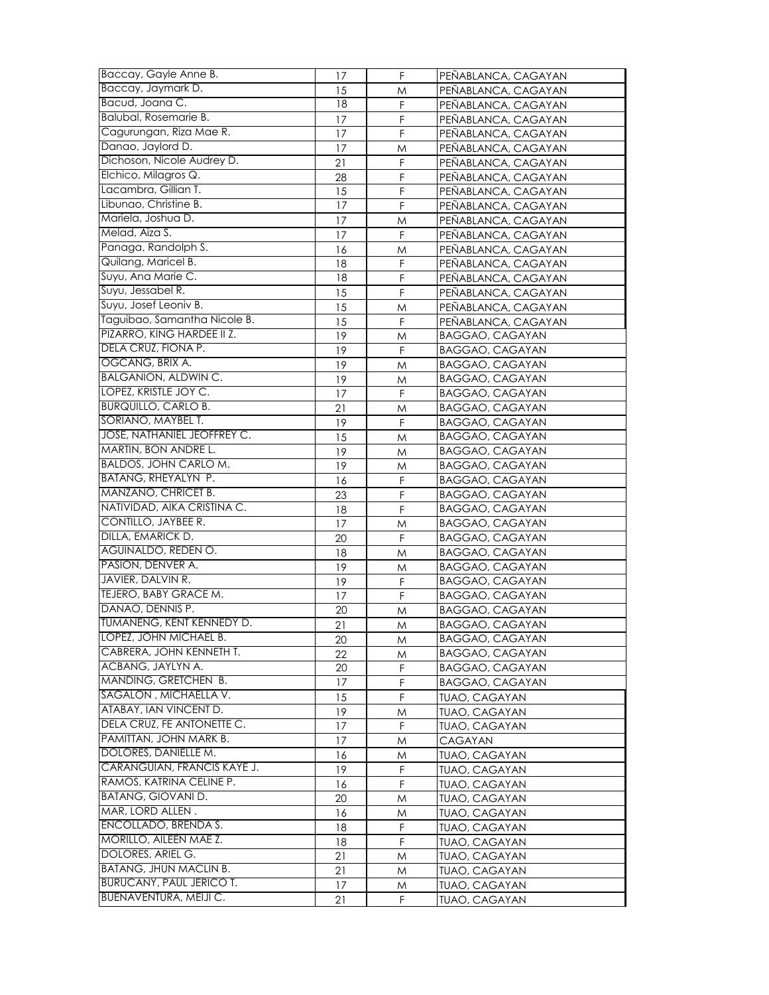| Baccay, Gayle Anne B.                                            | 17       | F      | PEÑABLANCA, CAGAYAN                       |
|------------------------------------------------------------------|----------|--------|-------------------------------------------|
| Baccay, Jaymark D.                                               | 15       | M      | PEÑABLANCA, CAGAYAN                       |
| Bacud, Joana C.                                                  | 18       | F      | PEÑABLANCA, CAGAYAN                       |
| Balubal, Rosemarie B.                                            | 17       | F      | PEÑABLANCA, CAGAYAN                       |
| Cagurungan, Riza Mae R.                                          | 17       | F      | PEÑABLANCA, CAGAYAN                       |
| Danao, Jaylord D.                                                | 17       | M      | PEÑABLANCA, CAGAYAN                       |
| Dichoson, Nicole Audrey D.                                       | 21       | F      | PEÑABLANCA, CAGAYAN                       |
| Elchico, Milagros Q.                                             | 28       | F      | PEÑABLANCA, CAGAYAN                       |
| Lacambra, Gillian T.                                             | 15       | F      | PEÑABLANCA, CAGAYAN                       |
| Libunao, Christine B.                                            | 17       | F      | PEÑABLANCA, CAGAYAN                       |
| Mariela, Joshua D.                                               | 17       | M      | PEÑABLANCA, CAGAYAN                       |
| Melad, Aiza S.                                                   | 17       | F      | PEÑABLANCA, CAGAYAN                       |
| Panaga, Randolph S.                                              | 16       | M      | PENABLANCA, CAGAYAN                       |
| Quilang, Maricel B.                                              | 18       | F      | PEÑABLANCA, CAGAYAN                       |
| Suyu, Ana Marie C.                                               | 18       | F      | PEÑABLANCA, CAGAYAN                       |
| Suyu, Jessabel R.                                                | 15       | F      | PEÑABLANCA, CAGAYAN                       |
| Suyu, Josef Leoniv B.                                            | 15       | M      | PEÑABLANCA, CAGAYAN                       |
| Taguibao, Samantha Nicole B.                                     | 15       | F      | PEÑABLANCA, CAGAYAN                       |
| PIZARRO, KING HARDEE II Z.                                       | 19       | M      | BAGGAO, CAGAYAN                           |
| DELA CRUZ, FIONA P.                                              | 19       | F      | BAGGAO, CAGAYAN                           |
| OGCANG, BRIX A.                                                  | 19       | M      | <b>BAGGAO, CAGAYAN</b>                    |
| <b>BALGANION, ALDWIN C.</b>                                      | 19       | M      | BAGGAO, CAGAYAN                           |
| LOPEZ, KRISTLE JOY C.                                            | 17       | F      | BAGGAO, CAGAYAN                           |
| <b>BURQUILLO, CARLO B.</b>                                       | 21       | Μ      | BAGGAO, CAGAYAN                           |
| SORIANO, MAYBEL T.                                               | 19       | F      | BAGGAO, CAGAYAN                           |
| JOSE, NATHANIEL JEOFFREY C.                                      | 15       | M      | BAGGAO, CAGAYAN                           |
| MARTIN, BON ANDRE L.                                             | 19       | M      | BAGGAO, CAGAYAN                           |
| <b>BALDOS, JOHN CARLO M.</b>                                     | 19       |        | BAGGAO, CAGAYAN                           |
| BATANG, RHEYALYN P.                                              |          | M      | BAGGAO, CAGAYAN                           |
| MANZANO, CHRICET B.                                              | 16<br>23 | F<br>F | BAGGAO, CAGAYAN                           |
| NATIVIDAD, AIKA CRISTINA C.                                      |          |        | BAGGAO, CAGAYAN                           |
| CONTILLO, JAYBEE R.                                              | 18       | F      | BAGGAO, CAGAYAN                           |
| DILLA, EMARICK D.                                                | 17       | M<br>F |                                           |
| <b>AGUINALDO, REDEN O.</b>                                       | 20       |        | BAGGAO, CAGAYAN                           |
| PASION, DENVER A.                                                | 18       | M      | BAGGAO, CAGAYAN                           |
| JAVIER, DALVIN R.                                                | 19       | M      | BAGGAO, CAGAYAN                           |
| <b>TEJERO, BABY GRACE M.</b>                                     | 19       | F      | BAGGAO, CAGAYAN                           |
| DANAO, DENNIS P.                                                 | 17<br>20 | F      | BAGGAO, CAGAYAN<br><b>BAGGAO, CAGAYAN</b> |
| TUMANENG, KENT KENNEDY D.                                        |          | M      |                                           |
| LOPEZ, JOHN MICHAEL B.                                           | 21       | M      | BAGGAO, CAGAYAN                           |
| CABRERA, JOHN KENNETH T.                                         | 20       | M      | BAGGAO, CAGAYAN                           |
| ACBANG, JAYLYN A.                                                | 22<br>20 | M<br>F | BAGGAO, CAGAYAN                           |
| MANDING, GRETCHEN B.                                             |          |        | BAGGAO, CAGAYAN                           |
| SAGALON, MICHAELLA V.                                            | 17       | F      | BAGGAO, CAGAYAN                           |
| ATABAY, IAN VINCENT D.                                           | 15       | F      | TUAO, CAGAYAN                             |
| DELA CRUZ, FE ANTONETTE C.                                       | 19       | M      | <b>TUAO, CAGAYAN</b>                      |
| PAMITTAN, JOHN MARK B.                                           | 17       | F      | <b>TUAO, CAGAYAN</b>                      |
| DOLORES, DANIELLE M.                                             | 17       | M      | <b>CAGAYAN</b>                            |
| CARANGUIAN, FRANCIS KAYE J.                                      | 16       | M      | <b>TUAO, CAGAYAN</b>                      |
| RAMOS, KATRINA CELINE P.                                         | 19       | F      | <b>TUAO, CAGAYAN</b>                      |
|                                                                  | 16       | F      | <b>TUAO, CAGAYAN</b>                      |
| <b>BATANG, GIOVANI D.</b>                                        | 20       | M      | TUAO, CAGAYAN                             |
| MAR, LORD ALLEN.<br>ENCOLLADO, BRENDA S.                         | 16       | M      | TUAO, CAGAYAN                             |
| MORILLO, AILEEN MAE Z.                                           | 18       | F      | TUAO, CAGAYAN                             |
|                                                                  | 18       | F      | <b>TUAO, CAGAYAN</b>                      |
| DOLORES, ARIEL G.<br><b>BATANG, JHUN MACLIN B.</b>               | 21       | M      | <b>TUAO, CAGAYAN</b>                      |
|                                                                  | 21       | M      | TUAO, CAGAYAN                             |
| <b>BURUCANY, PAUL JERICO T.</b><br><b>BUENAVENTURA, MEIJI C.</b> | 17       | M      | <b>TUAO, CAGAYAN</b>                      |
|                                                                  | 21       | F.     | <b>TUAO, CAGAYAN</b>                      |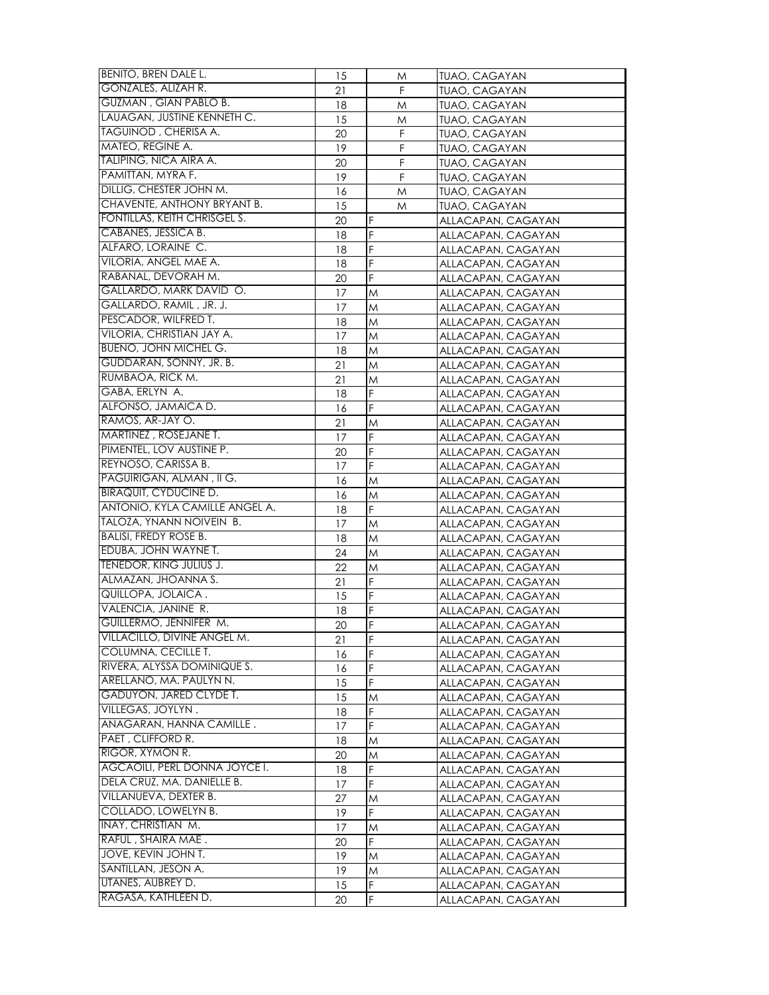| BENITO, BREN DALE L.           | 15       | M      | TUAO, CAGAYAN                            |
|--------------------------------|----------|--------|------------------------------------------|
| GONZALES, ALIZAH R.            | 21       | F.     | <b>TUAO, CAGAYAN</b>                     |
| GUZMAN, GIAN PABLO B.          | 18       | M      | <b>TUAO, CAGAYAN</b>                     |
| LAUAGAN, JUSTINE KENNETH C.    | 15       | M      | TUAO, CAGAYAN                            |
| TAGUINOD, CHERISA A.           | 20       | F      | <b>TUAO, CAGAYAN</b>                     |
| MATEO, REGINE A.               | 19       | F      | <b>TUAO, CAGAYAN</b>                     |
| TALIPING, NICA AIRA A.         | 20       | F      | <b>TUAO, CAGAYAN</b>                     |
| PAMITTAN, MYRA F.              | 19       | F      | TUAO, CAGAYAN                            |
| DILLIG, CHESTER JOHN M.        | 16       | M      | <b>TUAO, CAGAYAN</b>                     |
| CHAVENTE, ANTHONY BRYANT B.    | 15       | M      | TUAO, CAGAYAN                            |
| FONTILLAS, KEITH CHRISGEL S.   | 20       | F      | ALLACAPAN, CAGAYAN                       |
| CABANES, JESSICA B.            | 18       | F      | ALLACAPAN, CAGAYAN                       |
| ALFARO, LORAINE C.             | 18       | F      | ALLACAPAN, CAGAYAN                       |
| VILORIA, ANGEL MAE A.          | 18       | F      | ALLACAPAN, CAGAYAN                       |
| RABANAL, DEVORAH M.            | 20       | F      | ALLACAPAN, CAGAYAN                       |
| GALLARDO, MARK DAVID O.        | 17       | M      | ALLACAPAN, CAGAYAN                       |
| GALLARDO, RAMIL, JR. J.        | 17       | M      | ALLACAPAN, CAGAYAN                       |
| PESCADOR, WILFRED T.           | 18       | M      | ALLACAPAN, CAGAYAN                       |
| VILORIA, CHRISTIAN JAY A.      | 17       | M      | ALLACAPAN, CAGAYAN                       |
| <b>BUENO, JOHN MICHEL G.</b>   | 18       | M      | ALLACAPAN, CAGAYAN                       |
| GUDDARAN, SONNY, JR. B.        | 21       | M      | ALLACAPAN, CAGAYAN                       |
| RUMBAOA, RICK M.               | 21       | M      | ALLACAPAN, CAGAYAN                       |
| GABA, ERLYN A.                 | 18       | F      | ALLACAPAN, CAGAYAN                       |
| ALFONSO, JAMAICA D.            | 16       | F      | ALLACAPAN, CAGAYAN                       |
| RAMOS, AR-JAY O.               | 21       | M      | ALLACAPAN, CAGAYAN                       |
| MARTINEZ, ROSEJANE T.          | 17       | F      |                                          |
| PIMENTEL, LOV AUSTINE P.       | 20       | F      | ALLACAPAN, CAGAYAN<br>ALLACAPAN, CAGAYAN |
| REYNOSO, CARISSA B.            |          | F      |                                          |
| PAGUIRIGAN, ALMAN, II G.       | 17       |        | ALLACAPAN, CAGAYAN                       |
| <b>BIRAQUIT, CYDUCINE D.</b>   | 16<br>16 | M<br>M | ALLACAPAN, CAGAYAN                       |
| ANTONIO, KYLA CAMILLE ANGEL A. | 18       | F      | ALLACAPAN, CAGAYAN                       |
| TALOZA, YNANN NOIVEIN B.       | 17       | M      | ALLACAPAN, CAGAYAN<br>ALLACAPAN, CAGAYAN |
| <b>BALISI, FREDY ROSE B.</b>   | 18       | M      | ALLACAPAN, CAGAYAN                       |
| EDUBA, JOHN WAYNE T.           | 24       | M      |                                          |
| TENEDOR, KING JULIUS J.        | 22       |        | ALLACAPAN, CAGAYAN                       |
| ALMAZAN, JHOANNA S.            | 21       | M<br>F | ALLACAPAN, CAGAYAN<br>ALLACAPAN, CAGAYAN |
| QUILLOPA, JOLAICA.             | 15       | F      | ALLACAPAN, CAGAYAN                       |
| VALENCIA, JANINE R.            | 18       | F      | ALLACAPAN, CAGAYAN                       |
| GUILLERMO, JENNIFER M.         | 20       | F      | ALLACAPAN, CAGAYAN                       |
| VILLACILLO, DIVINE ANGEL M.    |          | F      |                                          |
| COLUMNA, CECILLE T.            | 21       | F      | ALLACAPAN, CAGAYAN                       |
| RIVERA, ALYSSA DOMINIQUE S.    | 16<br>16 | F      | ALLACAPAN, CAGAYAN<br>ALLACAPAN, CAGAYAN |
| ARELLANO, MA. PAULYN N.        | 15       | F      | ALLACAPAN, CAGAYAN                       |
| GADUYON, JARED CLYDE T.        |          |        |                                          |
| VILLEGAS, JOYLYN.              | 15       | M<br>F | ALLACAPAN, CAGAYAN<br>ALLACAPAN, CAGAYAN |
| ANAGARAN, HANNA CAMILLE.       | 18       | F      |                                          |
| PAET, CLIFFORD R.              | 17       |        | ALLACAPAN, CAGAYAN                       |
| RIGOR, XYMON R.                | 18       | M      | ALLACAPAN, CAGAYAN                       |
| AGCAOILI, PERL DONNA JOYCE I.  | 20       | M      | ALLACAPAN, CAGAYAN                       |
| DELA CRUZ, MA. DANIELLE B.     | 18       | F<br>F | ALLACAPAN, CAGAYAN                       |
| VILLANUEVA, DEXTER B.          | 17       |        | ALLACAPAN, CAGAYAN                       |
| COLLADO, LOWELYN B.            | 27       | M      | ALLACAPAN, CAGAYAN                       |
| <b>INAY, CHRISTIAN M.</b>      | 19       | F      | ALLACAPAN, CAGAYAN                       |
| RAFUL, SHAIRA MAE.             | 17       | M      | ALLACAPAN, CAGAYAN                       |
| JOVE, KEVIN JOHN T.            | 20       | F      | ALLACAPAN, CAGAYAN                       |
| SANTILLAN, JESON A.            | 19       | M      | ALLACAPAN, CAGAYAN                       |
| UTANES, AUBREY D.              | 19       | M      | ALLACAPAN, CAGAYAN                       |
| RAGASA, KATHLEEN D.            | 15       | F<br>F | ALLACAPAN, CAGAYAN                       |
|                                | 20       |        | ALLACAPAN, CAGAYAN                       |